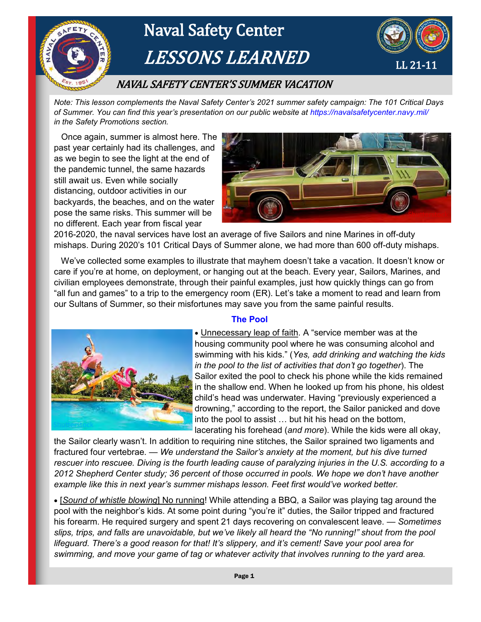

*Note: This lesson complements the Naval Safety Center's 2021 summer safety campaign: The 101 Critical Days of Summer. You can find this year's presentation on our public website at https://navalsafetycenter.navy.mil/ in the Safety Promotions section.* 

 Once again, summer is almost here. The past year certainly had its challenges, and as we begin to see the light at the end of the pandemic tunnel, the same hazards still await us. Even while socially distancing, outdoor activities in our backyards, the beaches, and on the water pose the same risks. This summer will be no different. Each year from fiscal year



2016-2020, the naval services have lost an average of five Sailors and nine Marines in off-duty mishaps. During 2020's 101 Critical Days of Summer alone, we had more than 600 off-duty mishaps.

 We've collected some examples to illustrate that mayhem doesn't take a vacation. It doesn't know or care if you're at home, on deployment, or hanging out at the beach. Every year, Sailors, Marines, and civilian employees demonstrate, through their painful examples, just how quickly things can go from "all fun and games" to a trip to the emergency room (ER). Let's take a moment to read and learn from our Sultans of Summer, so their misfortunes may save you from the same painful results.



## **The Pool**

• Unnecessary leap of faith. A "service member was at the housing community pool where he was consuming alcohol and swimming with his kids." (*Yes, add drinking and watching the kids in the pool to the list of activities that don't go together*). The Sailor exited the pool to check his phone while the kids remained in the shallow end. When he looked up from his phone, his oldest child's head was underwater. Having "previously experienced a drowning," according to the report, the Sailor panicked and dove into the pool to assist … but hit his head on the bottom, lacerating his forehead (*and more*). While the kids were all okay,

the Sailor clearly wasn't. In addition to requiring nine stitches, the Sailor sprained two ligaments and fractured four vertebrae. — *We understand the Sailor's anxiety at the moment, but his dive turned rescuer into rescuee. Diving is the fourth leading cause of paralyzing injuries in the U.S. according to a 2012 Shepherd Center study; 36 percent of those occurred in pools. We hope we don't have another example like this in next year's summer mishaps lesson. Feet first would've worked better.*

 [*Sound of whistle blowing*] No running! While attending a BBQ, a Sailor was playing tag around the pool with the neighbor's kids. At some point during "you're it" duties, the Sailor tripped and fractured his forearm. He required surgery and spent 21 days recovering on convalescent leave. — *Sometimes slips, trips, and falls are unavoidable, but we've likely all heard the "No running!" shout from the pool lifeguard. There's a good reason for that! It's slippery, and it's cement! Save your pool area for swimming, and move your game of tag or whatever activity that involves running to the yard area.*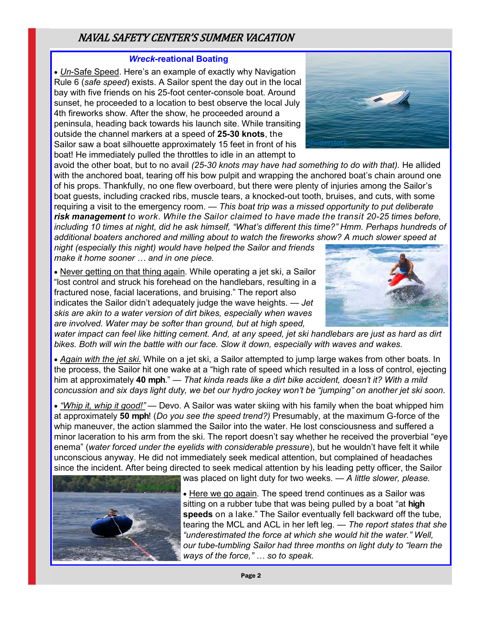# NAVAL SAFETY CENTER'S SUMMER VACATION

#### *Wreck***-reational Boating**

 *Un*-Safe Speed. Here's an example of exactly why Navigation Rule 6 (*safe speed*) exists. A Sailor spent the day out in the local bay with five friends on his 25-foot center-console boat. Around sunset, he proceeded to a location to best observe the local July 4th fireworks show. After the show, he proceeded around a peninsula, heading back towards his launch site. While transiting outside the channel markers at a speed of **25-30 knots**, the Sailor saw a boat silhouette approximately 15 feet in front of his boat! He immediately pulled the throttles to idle in an attempt to

avoid the other boat, but to no avail *(25-30 knots may have had something to do with that).* He allided with the anchored boat, tearing off his bow pulpit and wrapping the anchored boat's chain around one of his props. Thankfully, no one flew overboard, but there were plenty of injuries among the Sailor's boat guests, including cracked ribs, muscle tears, a knocked-out tooth, bruises, and cuts, with some requiring a visit to the emergency room. — *This boat trip was a missed opportunity to put deliberate risk management to work. While the Sailor claimed to have made the transit 20-25 times before, including 10 times at night, did he ask himself, "What's different this time?" Hmm. Perhaps hundreds of additional boaters anchored and milling about to watch the fireworks show? A much slower speed at* 

*night (especially this night) would have helped the Sailor and friends make it home sooner … and in one piece.* 

 Never getting on that thing again*.* While operating a jet ski, a Sailor "lost control and struck his forehead on the handlebars, resulting in a fractured nose, facial lacerations, and bruising." The report also indicates the Sailor didn't adequately judge the wave heights. — *Jet skis are akin to a water version of dirt bikes, especially when waves are involved. Water may be softer than ground, but at high speed,* 

*water impact can feel like hitting cement. And, at any speed, jet ski handlebars are just as hard as dirt bikes. Both will win the battle with our face. Slow it down, especially with waves and wakes.*

 *Again with the jet ski.* While on a jet ski, a Sailor attempted to jump large wakes from other boats. In the process, the Sailor hit one wake at a "high rate of speed which resulted in a loss of control, ejecting him at approximately **40 mph**." *— That kinda reads like a dirt bike accident, doesn't it? With a mild concussion and six days light duty, we bet our hydro jockey won't be "jumping" on another jet ski soon.*

 *"Whip it, whip it good!"* — Devo. A Sailor was water skiing with his family when the boat whipped him at approximately **50 mph**! (*Do you see the speed trend?)* Presumably, at the maximum G-force of the whip maneuver, the action slammed the Sailor into the water. He lost consciousness and suffered a minor laceration to his arm from the ski. The report doesn't say whether he received the proverbial "eye enema" (*water forced under the eyelids with considerable pressure*), but he wouldn't have felt it while unconscious anyway. He did not immediately seek medical attention, but complained of headaches since the incident. After being directed to seek medical attention by his leading petty officer, the Sailor



was placed on light duty for two weeks. *— A little slower, please.*

 Here we go again*.* The speed trend continues as a Sailor was sitting on a rubber tube that was being pulled by a boat "at **high speeds** on a lake." The Sailor eventually fell backward off the tube, tearing the MCL and ACL in her left leg*. — The report states that she "underestimated the force at which she would hit the water." Well, our tube-tumbling Sailor had three months on light duty to "learn the ways of the force," … so to speak.* 



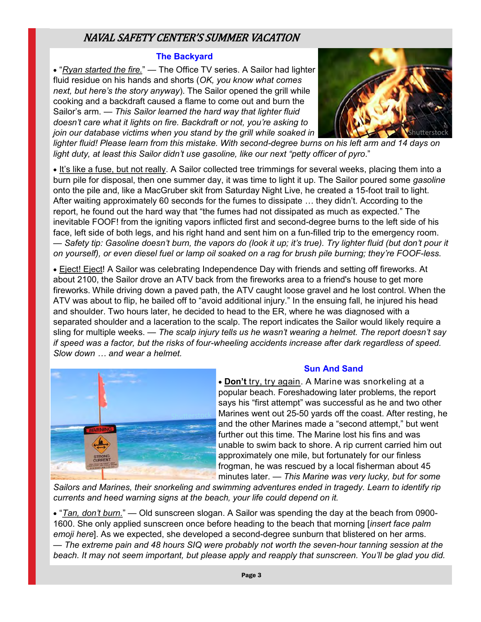# NAVAL SAFETY CENTER'S SUMMER VACATION

#### **The Backyard**

 "*Ryan started the fire.*" — The Office TV series. A Sailor had lighter fluid residue on his hands and shorts (*OK, you know what comes next, but here's the story anyway*). The Sailor opened the grill while cooking and a backdraft caused a flame to come out and burn the Sailor's arm. — *This Sailor learned the hard way that lighter fluid doesn't care what it lights on fire. Backdraft or not, you're asking to join our database victims when you stand by the grill while soaked in* 



lighter fluid! Please learn from this mistake. With second-degree burns on his left arm and 14 days on *light duty, at least this Sailor didn't use gasoline, like our next "petty officer of pyro*."

• It's like a fuse, but not really. A Sailor collected tree trimmings for several weeks, placing them into a burn pile for disposal, then one summer day, it was time to light it up. The Sailor poured some *gasoline* onto the pile and, like a MacGruber skit from Saturday Night Live, he created a 15-foot trail to light. After waiting approximately 60 seconds for the fumes to dissipate … they didn't. According to the report, he found out the hard way that "the fumes had not dissipated as much as expected." The inevitable FOOF! from the igniting vapors inflicted first and second-degree burns to the left side of his face, left side of both legs, and his right hand and sent him on a fun-filled trip to the emergency room. — *Safety tip: Gasoline doesn't burn, the vapors do (look it up; it's true). Try lighter fluid (but don't pour it on yourself), or even diesel fuel or lamp oil soaked on a rag for brush pile burning; they're FOOF-less.* 

 Eject! Eject! A Sailor was celebrating Independence Day with friends and setting off fireworks. At about 2100, the Sailor drove an ATV back from the fireworks area to a friend's house to get more fireworks. While driving down a paved path, the ATV caught loose gravel and he lost control. When the ATV was about to flip, he bailed off to "avoid additional injury." In the ensuing fall, he injured his head and shoulder. Two hours later, he decided to head to the ER, where he was diagnosed with a separated shoulder and a laceration to the scalp. The report indicates the Sailor would likely require a sling for multiple weeks. — *The scalp injury tells us he wasn't wearing a helmet. The report doesn't say if speed was a factor, but the risks of four-wheeling accidents increase after dark regardless of speed. Slow down … and wear a helmet.* 



## **Sun And Sand**

 **Don't** try, try again. A Marine was snorkeling at a popular beach. Foreshadowing later problems, the report says his "first attempt" was successful as he and two other Marines went out 25-50 yards off the coast. After resting, he and the other Marines made a "second attempt," but went further out this time. The Marine lost his fins and was unable to swim back to shore. A rip current carried him out approximately one mile, but fortunately for our finless frogman, he was rescued by a local fisherman about 45 minutes later. — *This Marine was very lucky, but for some* 

*Sailors and Marines, their snorkeling and swimming adventures ended in tragedy. Learn to identify rip currents and heed warning signs at the beach, your life could depend on it.* 

 "*Tan, don't burn.*" — Old sunscreen slogan. A Sailor was spending the day at the beach from 0900- 1600. She only applied sunscreen once before heading to the beach that morning [*insert face palm emoji here*]. As we expected, she developed a second-degree sunburn that blistered on her arms. — *The extreme pain and 48 hours SIQ were probably not worth the seven-hour tanning session at the beach. It may not seem important, but please apply and reapply that sunscreen. You'll be glad you did.*